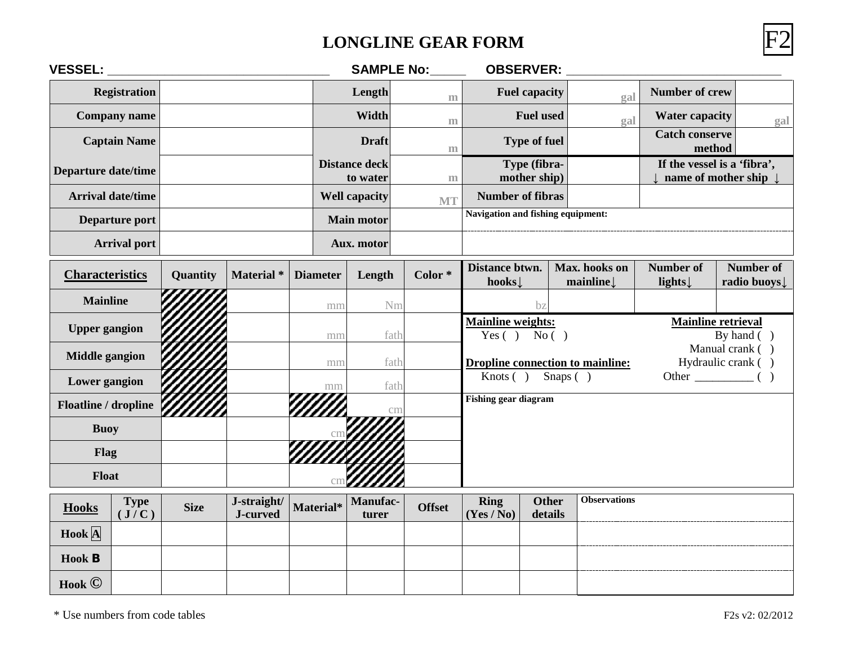## **LONGLINE GEAR FORM** F2



| <b>VESSEL:</b>                       |             |                         |                 | <b>SAMPLE No:</b>                     |               | <b>OBSERVER:</b>                                     |                                   |                            |                                            |                                                    |  |  |
|--------------------------------------|-------------|-------------------------|-----------------|---------------------------------------|---------------|------------------------------------------------------|-----------------------------------|----------------------------|--------------------------------------------|----------------------------------------------------|--|--|
| <b>Registration</b>                  |             |                         |                 | Length                                | m             |                                                      | <b>Fuel capacity</b>              | gal                        | <b>Number of crew</b>                      |                                                    |  |  |
| <b>Company name</b>                  |             |                         |                 | Width<br>m                            |               |                                                      | <b>Fuel used</b><br>gal           |                            | <b>Water capacity</b>                      | gal                                                |  |  |
| <b>Captain Name</b>                  |             |                         |                 | <b>Draft</b>                          | m             |                                                      | <b>Type of fuel</b>               |                            | <b>Catch conserve</b><br>method            |                                                    |  |  |
| <b>Departure date/time</b>           |             |                         |                 | <b>Distance deck</b><br>to water<br>m |               |                                                      | Type (fibra-<br>mother ship)      |                            |                                            | If the vessel is a 'fibra',<br>name of mother ship |  |  |
| <b>Arrival date/time</b>             |             |                         |                 | <b>Well capacity</b><br><b>MT</b>     |               |                                                      | <b>Number of fibras</b>           |                            |                                            |                                                    |  |  |
| Departure port                       |             |                         |                 | <b>Main motor</b>                     |               |                                                      | Navigation and fishing equipment: |                            |                                            |                                                    |  |  |
| <b>Arrival port</b>                  |             |                         |                 | Aux. motor                            |               |                                                      |                                   |                            |                                            |                                                    |  |  |
| <b>Characteristics</b>               | Quantity    | Material <sup>*</sup>   | <b>Diameter</b> | Length                                | $Color *$     | Distance btwn.<br>Max. hooks on<br>hooks<br>mainline |                                   | <b>Number of</b><br>lights | <b>Number of</b><br>radio buoys            |                                                    |  |  |
| <b>Mainline</b>                      |             |                         | mn              | Nm                                    |               | bz                                                   |                                   |                            |                                            |                                                    |  |  |
| <b>Upper gangion</b>                 |             |                         | mm              | fath                                  |               | <b>Mainline weights:</b><br>Yes $( )$ No $( )$       |                                   |                            | <b>Mainline retrieval</b><br>By hand $( )$ |                                                    |  |  |
| <b>Middle gangion</b>                |             |                         | mm              | fath                                  |               | <b>Dropline connection to mainline:</b>              |                                   |                            | Manual crank ()<br>Hydraulic crank ()      |                                                    |  |  |
| Lower gangion                        |             |                         | mm              | fath                                  |               | Knots $( )$                                          | Snaps $( )$                       |                            |                                            | Other $\qquad$ ( )                                 |  |  |
| Floatline / dropline                 |             |                         |                 | cm                                    |               | <b>Fishing gear diagram</b>                          |                                   |                            |                                            |                                                    |  |  |
| <b>Buoy</b>                          |             |                         |                 |                                       |               |                                                      |                                   |                            |                                            |                                                    |  |  |
| Flag                                 |             |                         |                 |                                       |               |                                                      |                                   |                            |                                            |                                                    |  |  |
| Float                                |             |                         |                 |                                       |               |                                                      |                                   |                            |                                            |                                                    |  |  |
| <b>Type</b><br><b>Hooks</b><br>(J/C) | <b>Size</b> | J-straight/<br>J-curved | Material*       | <b>Manufac-</b><br>turer              | <b>Offset</b> | <b>Ring</b><br>(Yes / No)                            | <b>Other</b><br>details           | <b>Observations</b>        |                                            |                                                    |  |  |
| Hook  A                              |             |                         |                 |                                       |               |                                                      |                                   |                            |                                            |                                                    |  |  |

**Hook B**

**Hook ©**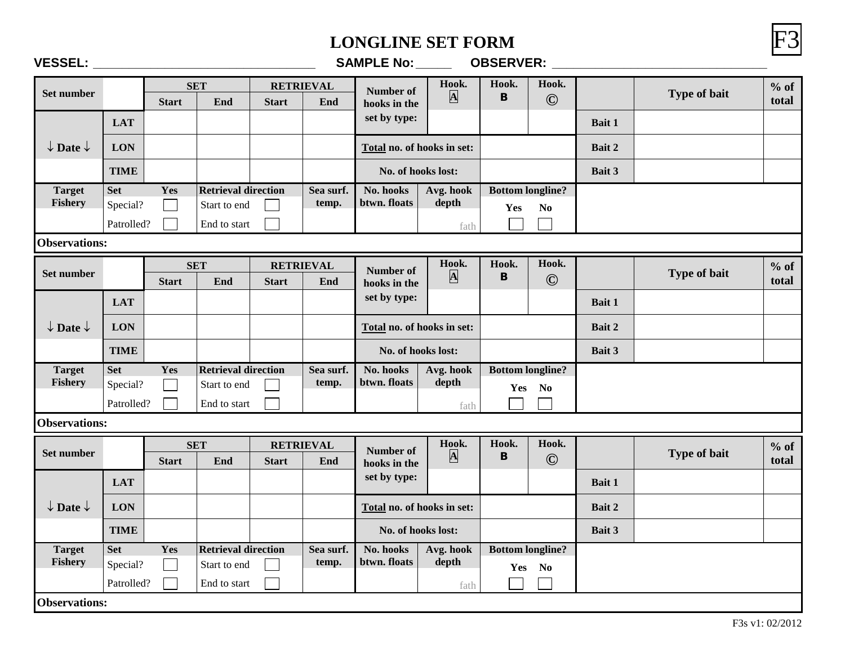#### **LONGLINE SET FORM**

|--|--|--|

| <b>VESSEL:</b>                 |                      |                          |                            |              |                         | <b>SAMPLE No:</b>          |                                  | <b>OBSERVER:</b>      |                         |               |              |                 |
|--------------------------------|----------------------|--------------------------|----------------------------|--------------|-------------------------|----------------------------|----------------------------------|-----------------------|-------------------------|---------------|--------------|-----------------|
| Set number                     |                      | <b>Start</b>             | <b>SET</b><br>End          | <b>Start</b> | <b>RETRIEVAL</b><br>End | Number of<br>hooks in the  | Hook.<br>$\overline{\mathbf{A}}$ | Hook.<br>B            | Hook.<br>$\odot$        |               | Type of bait | $%$ of<br>total |
|                                | <b>LAT</b>           |                          |                            |              |                         | set by type:               |                                  |                       |                         | Bait 1        |              |                 |
| $\downarrow$ Date $\downarrow$ | <b>LON</b>           |                          |                            |              |                         | Total no. of hooks in set: |                                  |                       |                         | Bait 2        |              |                 |
|                                | <b>TIME</b>          |                          |                            |              |                         | No. of hooks lost:         |                                  |                       |                         | Bait 3        |              |                 |
| <b>Target</b>                  | <b>Set</b>           | Yes                      | <b>Retrieval direction</b> |              | Sea surf.               | No. hooks                  | Avg. hook                        |                       | <b>Bottom longline?</b> |               |              |                 |
| Fishery                        | Special?             | $\overline{\phantom{0}}$ | Start to end               |              | temp.                   | btwn. floats<br>depth      |                                  | Yes<br>N <sub>0</sub> |                         |               |              |                 |
|                                | Patrolled?           |                          | End to start               |              |                         |                            | fath                             |                       |                         |               |              |                 |
|                                | <b>Observations:</b> |                          |                            |              |                         |                            |                                  |                       |                         |               |              |                 |
|                                |                      |                          | <b>SET</b>                 |              | <b>RETRIEVAL</b>        | Number of                  | Hook.                            | Hook.                 | Hook.                   |               |              | $%$ of          |
| Set number                     |                      | <b>Start</b>             | End                        | <b>Start</b> | End                     | hooks in the               | $\overline{\mathbf{A}}$          | B                     | $\odot$                 |               | Type of bait | total           |
|                                | <b>LAT</b>           |                          |                            |              |                         | set by type:               |                                  |                       |                         | <b>Bait 1</b> |              |                 |
| $\downarrow$ Date $\downarrow$ | <b>LON</b>           |                          |                            |              |                         | Total no. of hooks in set: |                                  |                       |                         | Bait 2        |              |                 |
|                                | <b>TIME</b>          |                          |                            |              |                         | No. of hooks lost:         |                                  |                       |                         | Bait 3        |              |                 |
| <b>Target</b>                  | <b>Set</b>           | Yes                      | <b>Retrieval direction</b> |              | Sea surf.               | No. hooks                  | Avg. hook                        |                       | <b>Bottom longline?</b> |               |              |                 |
| <b>Fishery</b>                 | Special?             | $\mathcal{L}$            | Start to end               |              | temp.                   | btwn. floats               | depth                            |                       | Yes No                  |               |              |                 |
|                                | Patrolled?           |                          | End to start               |              |                         |                            | fath                             |                       |                         |               |              |                 |
| <b>Observations:</b>           |                      |                          |                            |              |                         |                            |                                  |                       |                         |               |              |                 |
|                                |                      |                          | <b>SET</b>                 |              | <b>RETRIEVAL</b>        | Number of                  | Hook.                            | Hook.                 | Hook.                   |               |              | $%$ of          |
| Set number                     |                      | <b>Start</b>             | End                        | <b>Start</b> | End                     | hooks in the               | $\overline{\mathbf{A}}$          | B                     | $\odot$                 |               | Type of bait | total           |
|                                | <b>LAT</b>           |                          |                            |              |                         | set by type:               |                                  |                       |                         | Bait 1        |              |                 |
| $\downarrow$ Date $\downarrow$ | <b>LON</b>           |                          |                            |              |                         | Total no. of hooks in set: |                                  |                       |                         | Bait 2        |              |                 |
|                                | <b>TIME</b>          |                          |                            |              |                         | No. of hooks lost:         |                                  |                       |                         | Bait 3        |              |                 |
| <b>Target</b>                  | <b>Set</b>           | Yes                      | <b>Retrieval direction</b> |              | Sea surf.               | No. hooks                  | Avg. hook                        |                       | <b>Bottom longline?</b> |               |              |                 |
| Fishery                        | Special?             |                          | Start to end               |              | temp.                   | btwn. floats               | depth                            |                       | Yes No                  |               |              |                 |
|                                | Patrolled?           |                          | End to start               |              |                         |                            | fath                             |                       |                         |               |              |                 |
| <b>Observations:</b>           |                      |                          |                            |              |                         |                            |                                  |                       |                         |               |              |                 |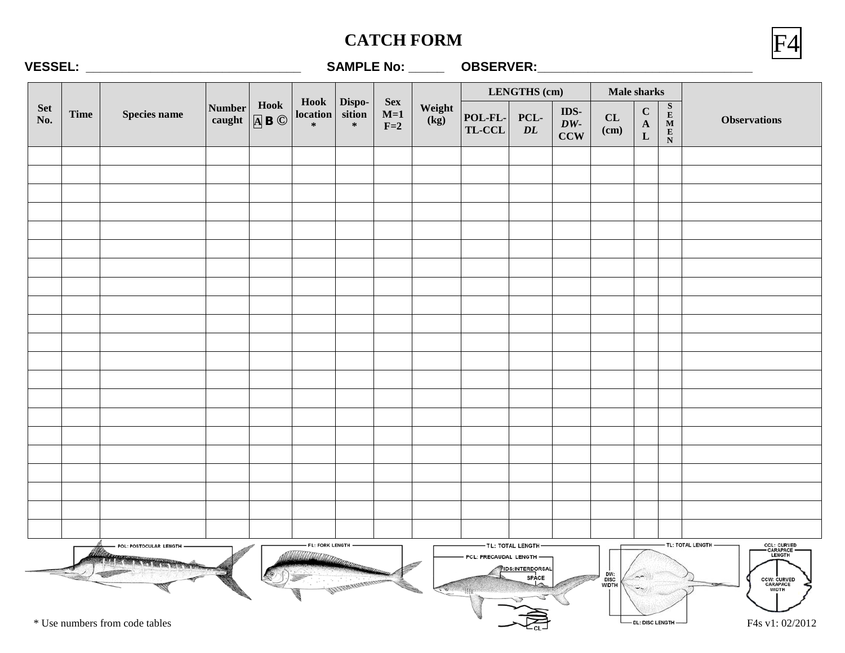### **CATCH FORM**



#### **VESSEL: \_\_\_\_\_\_\_\_\_\_\_\_\_\_\_\_\_\_\_\_\_\_\_\_\_\_\_\_\_\_ SAMPLE No: \_\_\_\_\_ OBSERVER:\_\_\_\_\_\_\_\_\_\_\_\_\_\_\_\_\_\_\_\_\_\_\_\_\_\_\_\_\_\_**

|                   |             |                                                          |                         |                                  |                     |                                 |  |                                                                      | LENGTHS (cm)<br>Male sharks |                                                       |                   |                      |                                             |                                                                                          |                                                                                                                                                      |
|-------------------|-------------|----------------------------------------------------------|-------------------------|----------------------------------|---------------------|---------------------------------|--|----------------------------------------------------------------------|-----------------------------|-------------------------------------------------------|-------------------|----------------------|---------------------------------------------|------------------------------------------------------------------------------------------|------------------------------------------------------------------------------------------------------------------------------------------------------|
| <b>Set</b><br>No. | <b>Time</b> | Species name                                             | <b>Number</b><br>caught | Hook<br>$\overline{A}$ B $\odot$ | location<br>$\ast$  | Hook Dispo-<br>sition<br>$\ast$ |  | <b>Sex</b><br>Weight<br>$M=1$<br>$\overline{(\mathbf{kg})}$<br>$F=2$ | POL-FL-<br>TL-CCL           | PCL-<br>$\overline{DL}$                               | IDS-<br>DW<br>CCW | CL<br>(cm)           | $\mathbf C$<br>$\mathbf{A}$<br>$\mathbf{L}$ | $\begin{array}{c}\n 8 \\  \text{E} \\  \text{M} \\  \text{E} \\  \text{N}\n \end{array}$ | <b>Observations</b>                                                                                                                                  |
|                   |             |                                                          |                         |                                  |                     |                                 |  |                                                                      |                             |                                                       |                   |                      |                                             |                                                                                          |                                                                                                                                                      |
|                   |             |                                                          |                         |                                  |                     |                                 |  |                                                                      |                             |                                                       |                   |                      |                                             |                                                                                          |                                                                                                                                                      |
|                   |             |                                                          |                         |                                  |                     |                                 |  |                                                                      |                             |                                                       |                   |                      |                                             |                                                                                          |                                                                                                                                                      |
|                   |             |                                                          |                         |                                  |                     |                                 |  |                                                                      |                             |                                                       |                   |                      |                                             |                                                                                          |                                                                                                                                                      |
|                   |             |                                                          |                         |                                  |                     |                                 |  |                                                                      |                             |                                                       |                   |                      |                                             |                                                                                          |                                                                                                                                                      |
|                   |             |                                                          |                         |                                  |                     |                                 |  |                                                                      |                             |                                                       |                   |                      |                                             |                                                                                          |                                                                                                                                                      |
|                   |             |                                                          |                         |                                  |                     |                                 |  |                                                                      |                             |                                                       |                   |                      |                                             |                                                                                          |                                                                                                                                                      |
|                   |             |                                                          |                         |                                  |                     |                                 |  |                                                                      |                             |                                                       |                   |                      |                                             |                                                                                          |                                                                                                                                                      |
|                   |             |                                                          |                         |                                  |                     |                                 |  |                                                                      |                             |                                                       |                   |                      |                                             |                                                                                          |                                                                                                                                                      |
|                   |             |                                                          |                         |                                  |                     |                                 |  |                                                                      |                             |                                                       |                   |                      |                                             |                                                                                          |                                                                                                                                                      |
|                   |             |                                                          |                         |                                  |                     |                                 |  |                                                                      |                             |                                                       |                   |                      |                                             |                                                                                          |                                                                                                                                                      |
|                   |             |                                                          |                         |                                  |                     |                                 |  |                                                                      |                             |                                                       |                   |                      |                                             |                                                                                          |                                                                                                                                                      |
|                   |             |                                                          |                         |                                  |                     |                                 |  |                                                                      |                             |                                                       |                   |                      |                                             |                                                                                          |                                                                                                                                                      |
|                   |             |                                                          |                         |                                  |                     |                                 |  |                                                                      |                             |                                                       |                   |                      |                                             |                                                                                          |                                                                                                                                                      |
|                   |             |                                                          |                         |                                  |                     |                                 |  |                                                                      |                             |                                                       |                   |                      |                                             |                                                                                          |                                                                                                                                                      |
|                   |             |                                                          |                         |                                  |                     |                                 |  |                                                                      |                             |                                                       |                   |                      |                                             |                                                                                          |                                                                                                                                                      |
|                   |             |                                                          |                         |                                  |                     |                                 |  |                                                                      |                             |                                                       |                   |                      |                                             |                                                                                          |                                                                                                                                                      |
|                   |             |                                                          |                         |                                  |                     |                                 |  |                                                                      |                             |                                                       |                   |                      |                                             |                                                                                          |                                                                                                                                                      |
|                   |             |                                                          |                         |                                  |                     |                                 |  |                                                                      |                             |                                                       |                   |                      |                                             |                                                                                          |                                                                                                                                                      |
|                   |             |                                                          |                         |                                  |                     |                                 |  |                                                                      |                             |                                                       |                   |                      |                                             |                                                                                          |                                                                                                                                                      |
|                   |             | POL: POSTOCULAR LENGTH<br>* Use numbers from code tables |                         |                                  | - FL: FORK LENGTH - | MURICIPATOR                     |  |                                                                      | PCL: PRECAUDAL LENGTH -     | -TL: TOTAL LENGTH-<br><b>IDS:INTERDORSAL</b><br>SPACE |                   | DW:<br>DISC<br>WIDTH | - DL: DISC LENGTH -                         |                                                                                          | TL: TOTAL LENGTH -<br><b>CCL: CURVED</b><br>- CARAPACE -<br>LENGTH<br><b>CCW: CURVED<br/>CARAPACE<br/>WIDTH</b><br><b>COMPANY</b><br>F4s v1: 02/2012 |

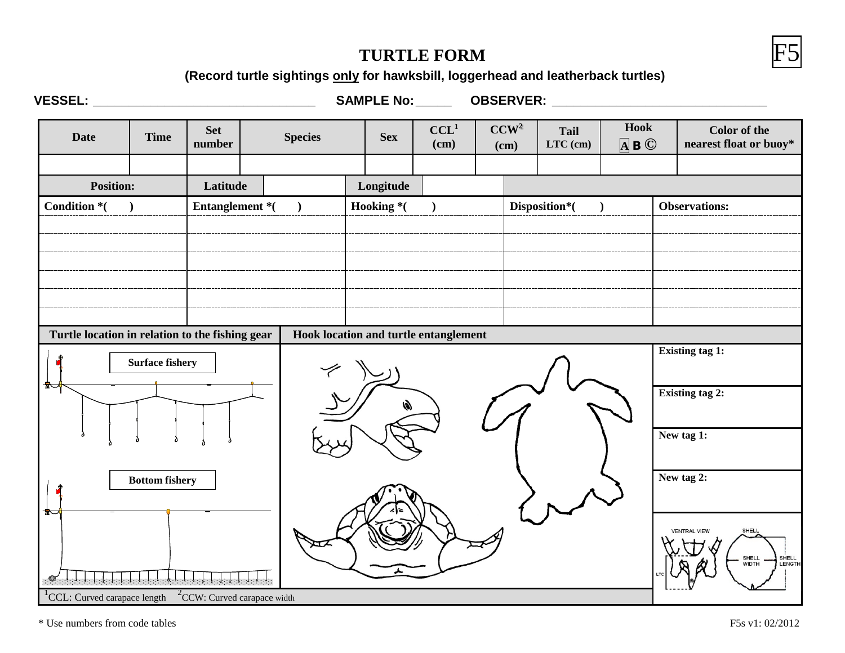#### **TURTLE FORM**



**(Record turtle sightings only for hawksbill, loggerhead and leatherback turtles)**

**VESSEL: \_\_\_\_\_\_\_\_\_\_\_\_\_\_\_\_\_\_\_\_\_\_\_\_\_\_\_\_\_\_\_ SAMPLE No:\_\_\_\_\_ OBSERVER: \_\_\_\_\_\_\_\_\_\_\_\_\_\_\_\_\_\_\_\_\_\_\_\_\_\_\_\_\_\_**

| <b>Date</b>                                     | <b>Time</b>            | <b>Set</b><br>number |  | <b>Species</b> | <b>Sex</b> | CCL <sup>1</sup><br>(cm)              |               | CCW <sup>2</sup><br>(cm) | <b>Tail</b><br>$LTC$ (cm) | Hook<br>$\overline{A}$ B $\odot$ |                        | <b>Color</b> of the<br>nearest float or buoy*                     |
|-------------------------------------------------|------------------------|----------------------|--|----------------|------------|---------------------------------------|---------------|--------------------------|---------------------------|----------------------------------|------------------------|-------------------------------------------------------------------|
|                                                 |                        |                      |  |                |            |                                       |               |                          |                           |                                  |                        |                                                                   |
| <b>Position:</b>                                |                        | Latitude             |  |                | Longitude  |                                       |               |                          |                           |                                  |                        |                                                                   |
| Condition *(                                    |                        | Entanglement *(      |  |                | Hooking *( |                                       | Disposition*( |                          |                           | <b>Observations:</b>             |                        |                                                                   |
|                                                 |                        |                      |  |                |            |                                       |               |                          |                           |                                  |                        |                                                                   |
|                                                 |                        |                      |  |                |            |                                       |               |                          |                           |                                  |                        |                                                                   |
|                                                 |                        |                      |  |                |            |                                       |               |                          |                           |                                  |                        |                                                                   |
|                                                 |                        |                      |  |                |            |                                       |               |                          |                           |                                  |                        |                                                                   |
|                                                 |                        |                      |  |                |            |                                       |               |                          |                           |                                  |                        |                                                                   |
| Turtle location in relation to the fishing gear |                        |                      |  |                |            | Hook location and turtle entanglement |               |                          |                           |                                  |                        |                                                                   |
|                                                 | <b>Surface fishery</b> |                      |  |                |            |                                       |               |                          |                           |                                  |                        | <b>Existing tag 1:</b>                                            |
| ≖                                               |                        |                      |  |                |            |                                       |               |                          |                           |                                  | <b>Existing tag 2:</b> |                                                                   |
|                                                 |                        |                      |  |                |            |                                       |               |                          |                           |                                  |                        | New tag 1:                                                        |
| <b>Bottom fishery</b>                           |                        |                      |  |                |            |                                       |               |                          |                           |                                  |                        | New tag 2:                                                        |
| 一個                                              |                        |                      |  |                |            |                                       |               |                          |                           |                                  |                        | SHELL<br><b>VENTRAL VIEW</b><br>SHELL<br>WIDTH<br>SHELL<br>LENGTH |

<sup>1</sup>CCL: Curved carapace length  $2^{\degree}$ CCW: Curved carapace width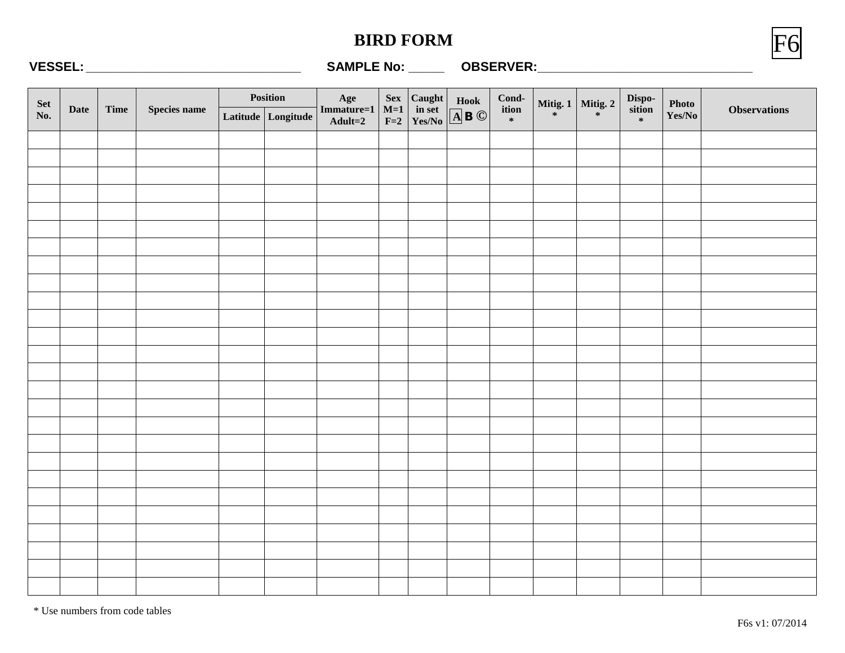#### **BIRD FORM**



#### **VESSEL: \_\_\_\_\_\_\_\_\_\_\_\_\_\_\_\_\_\_\_\_\_\_\_\_\_\_\_\_\_\_ SAMPLE No: \_\_\_\_\_ OBSERVER:\_\_\_\_\_\_\_\_\_\_\_\_\_\_\_\_\_\_\_\_\_\_\_\_\_\_\_\_\_\_**

|            |             |      |              | Position |                    |                              |                                                                         |                                                                                                                                               |                                                                     | Mitig. 1 Mitig. 2 |                  |                 |                     |
|------------|-------------|------|--------------|----------|--------------------|------------------------------|-------------------------------------------------------------------------|-----------------------------------------------------------------------------------------------------------------------------------------------|---------------------------------------------------------------------|-------------------|------------------|-----------------|---------------------|
| Set<br>No. | <b>Date</b> | Time | Species name |          | Latitude Longitude | Age<br>Immature=1<br>Adult=2 | $\begin{array}{c}\n\text{Sex} \\ \text{M=1} \\ \text{F=2}\n\end{array}$ | $\begin{array}{ l l }\hline \textbf{Caught} & \textbf{Hook} \\ \hline \textbf{in set} & \boxed{\textbf{A}} \textbf{B} \textbf{O} \end{array}$ | $\begin{array}{c}\n\text{Cond-}\n\text{ition} \\ \ast\n\end{array}$ |                   | Disposition<br>* | Photo<br>Yes/No | <b>Observations</b> |
|            |             |      |              |          |                    |                              |                                                                         |                                                                                                                                               |                                                                     |                   |                  |                 |                     |
|            |             |      |              |          |                    |                              |                                                                         |                                                                                                                                               |                                                                     |                   |                  |                 |                     |
|            |             |      |              |          |                    |                              |                                                                         |                                                                                                                                               |                                                                     |                   |                  |                 |                     |
|            |             |      |              |          |                    |                              |                                                                         |                                                                                                                                               |                                                                     |                   |                  |                 |                     |
|            |             |      |              |          |                    |                              |                                                                         |                                                                                                                                               |                                                                     |                   |                  |                 |                     |
|            |             |      |              |          |                    |                              |                                                                         |                                                                                                                                               |                                                                     |                   |                  |                 |                     |
|            |             |      |              |          |                    |                              |                                                                         |                                                                                                                                               |                                                                     |                   |                  |                 |                     |
|            |             |      |              |          |                    |                              |                                                                         |                                                                                                                                               |                                                                     |                   |                  |                 |                     |
|            |             |      |              |          |                    |                              |                                                                         |                                                                                                                                               |                                                                     |                   |                  |                 |                     |
|            |             |      |              |          |                    |                              |                                                                         |                                                                                                                                               |                                                                     |                   |                  |                 |                     |
|            |             |      |              |          |                    |                              |                                                                         |                                                                                                                                               |                                                                     |                   |                  |                 |                     |
|            |             |      |              |          |                    |                              |                                                                         |                                                                                                                                               |                                                                     |                   |                  |                 |                     |
|            |             |      |              |          |                    |                              |                                                                         |                                                                                                                                               |                                                                     |                   |                  |                 |                     |
|            |             |      |              |          |                    |                              |                                                                         |                                                                                                                                               |                                                                     |                   |                  |                 |                     |
|            |             |      |              |          |                    |                              |                                                                         |                                                                                                                                               |                                                                     |                   |                  |                 |                     |
|            |             |      |              |          |                    |                              |                                                                         |                                                                                                                                               |                                                                     |                   |                  |                 |                     |
|            |             |      |              |          |                    |                              |                                                                         |                                                                                                                                               |                                                                     |                   |                  |                 |                     |
|            |             |      |              |          |                    |                              |                                                                         |                                                                                                                                               |                                                                     |                   |                  |                 |                     |
|            |             |      |              |          |                    |                              |                                                                         |                                                                                                                                               |                                                                     |                   |                  |                 |                     |
|            |             |      |              |          |                    |                              |                                                                         |                                                                                                                                               |                                                                     |                   |                  |                 |                     |
|            |             |      |              |          |                    |                              |                                                                         |                                                                                                                                               |                                                                     |                   |                  |                 |                     |
|            |             |      |              |          |                    |                              |                                                                         |                                                                                                                                               |                                                                     |                   |                  |                 |                     |
|            |             |      |              |          |                    |                              |                                                                         |                                                                                                                                               |                                                                     |                   |                  |                 |                     |
|            |             |      |              |          |                    |                              |                                                                         |                                                                                                                                               |                                                                     |                   |                  |                 |                     |
|            |             |      |              |          |                    |                              |                                                                         |                                                                                                                                               |                                                                     |                   |                  |                 |                     |
|            |             |      |              |          |                    |                              |                                                                         |                                                                                                                                               |                                                                     |                   |                  |                 |                     |

\* Use numbers from code tables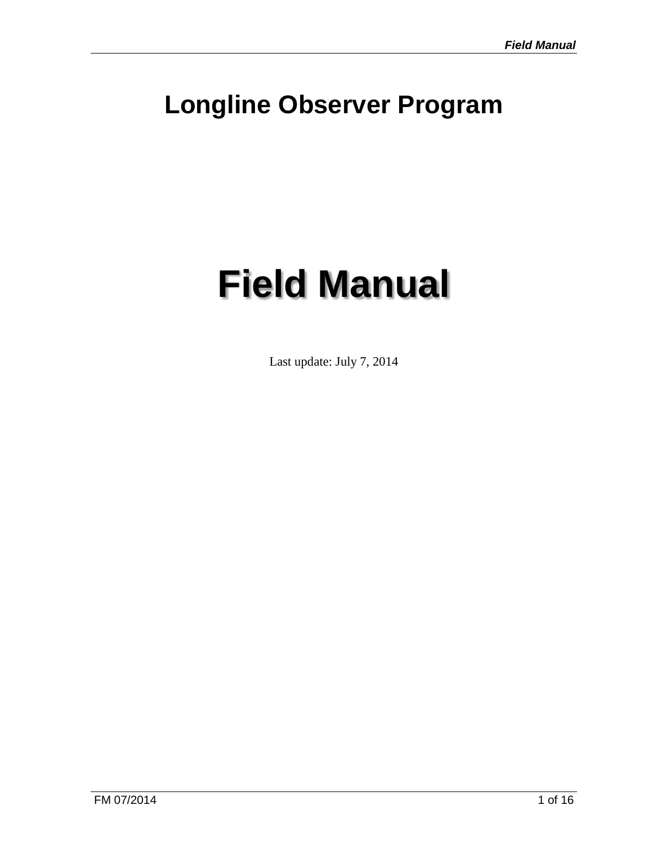# **Longline Observer Program**

# **Field Manual**

Last update: July 7, 2014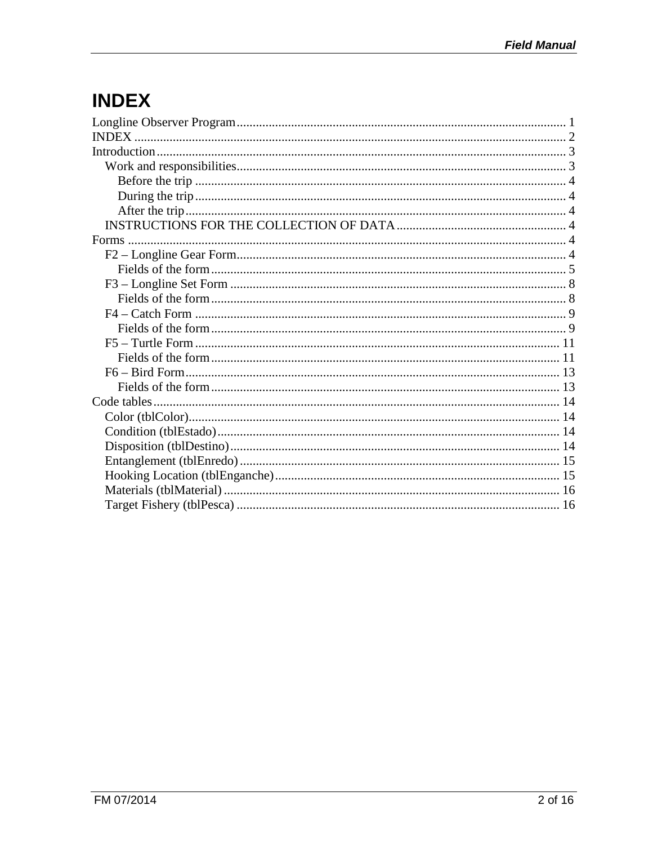# **INDEX**

| INDEX. |  |
|--------|--|
|        |  |
|        |  |
|        |  |
|        |  |
|        |  |
|        |  |
|        |  |
|        |  |
|        |  |
|        |  |
|        |  |
|        |  |
|        |  |
|        |  |
|        |  |
|        |  |
|        |  |
|        |  |
|        |  |
|        |  |
|        |  |
|        |  |
|        |  |
|        |  |
|        |  |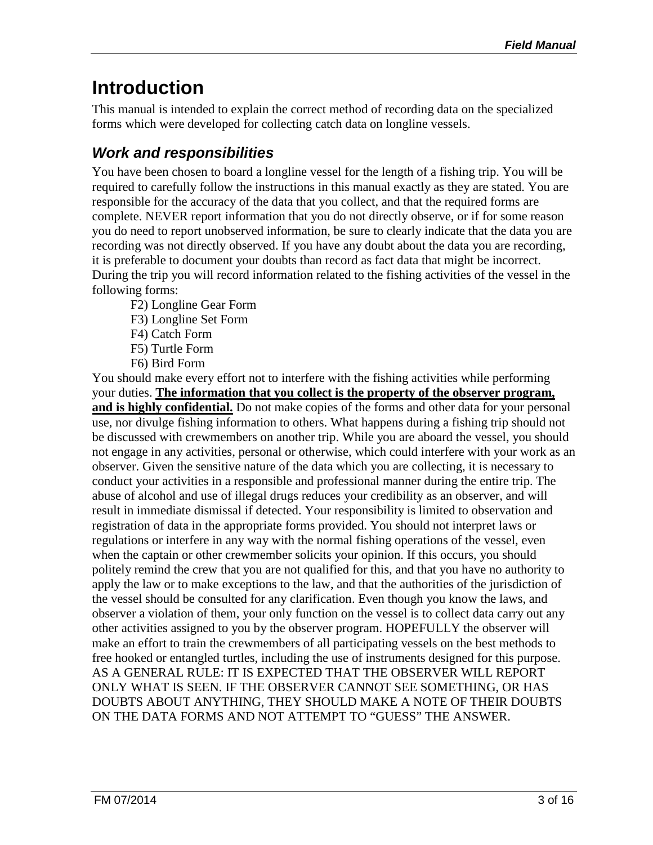# **Introduction**

This manual is intended to explain the correct method of recording data on the specialized forms which were developed for collecting catch data on longline vessels.

### *Work and responsibilities*

You have been chosen to board a longline vessel for the length of a fishing trip. You will be required to carefully follow the instructions in this manual exactly as they are stated. You are responsible for the accuracy of the data that you collect, and that the required forms are complete. NEVER report information that you do not directly observe, or if for some reason you do need to report unobserved information, be sure to clearly indicate that the data you are recording was not directly observed. If you have any doubt about the data you are recording, it is preferable to document your doubts than record as fact data that might be incorrect. During the trip you will record information related to the fishing activities of the vessel in the following forms:

- F2) Longline Gear Form
- F3) Longline Set Form
- F4) Catch Form
- F5) Turtle Form
- F6) Bird Form

You should make every effort not to interfere with the fishing activities while performing your duties. **The information that you collect is the property of the observer program,**  and is highly confidential. Do not make copies of the forms and other data for your personal use, nor divulge fishing information to others. What happens during a fishing trip should not be discussed with crewmembers on another trip. While you are aboard the vessel, you should not engage in any activities, personal or otherwise, which could interfere with your work as an observer. Given the sensitive nature of the data which you are collecting, it is necessary to conduct your activities in a responsible and professional manner during the entire trip. The abuse of alcohol and use of illegal drugs reduces your credibility as an observer, and will result in immediate dismissal if detected. Your responsibility is limited to observation and registration of data in the appropriate forms provided. You should not interpret laws or regulations or interfere in any way with the normal fishing operations of the vessel, even when the captain or other crewmember solicits your opinion. If this occurs, you should politely remind the crew that you are not qualified for this, and that you have no authority to apply the law or to make exceptions to the law, and that the authorities of the jurisdiction of the vessel should be consulted for any clarification. Even though you know the laws, and observer a violation of them, your only function on the vessel is to collect data carry out any other activities assigned to you by the observer program. HOPEFULLY the observer will make an effort to train the crewmembers of all participating vessels on the best methods to free hooked or entangled turtles, including the use of instruments designed for this purpose. AS A GENERAL RULE: IT IS EXPECTED THAT THE OBSERVER WILL REPORT ONLY WHAT IS SEEN. IF THE OBSERVER CANNOT SEE SOMETHING, OR HAS DOUBTS ABOUT ANYTHING, THEY SHOULD MAKE A NOTE OF THEIR DOUBTS ON THE DATA FORMS AND NOT ATTEMPT TO "GUESS" THE ANSWER.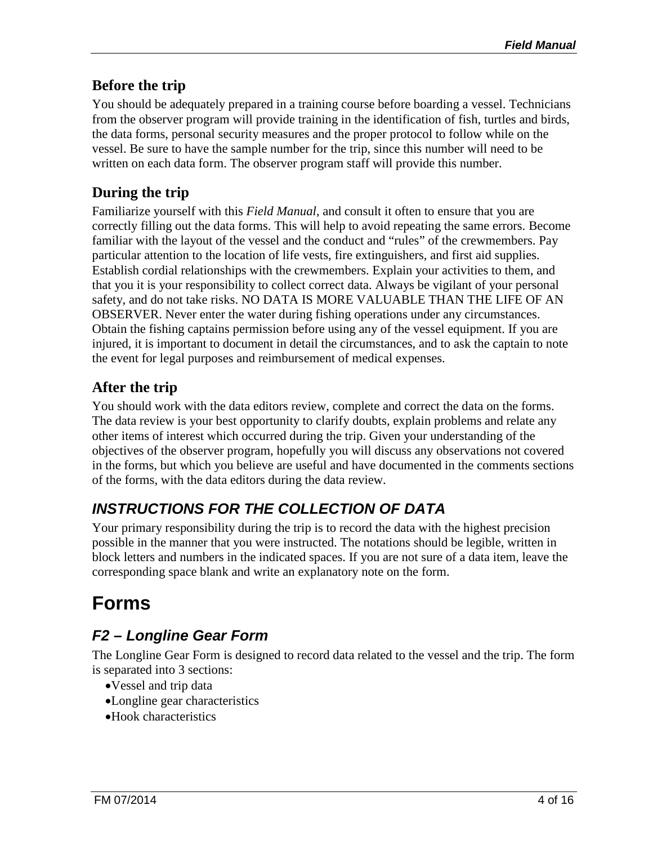#### **Before the trip**

You should be adequately prepared in a training course before boarding a vessel. Technicians from the observer program will provide training in the identification of fish, turtles and birds, the data forms, personal security measures and the proper protocol to follow while on the vessel. Be sure to have the sample number for the trip, since this number will need to be written on each data form. The observer program staff will provide this number.

#### **During the trip**

Familiarize yourself with this *Field Manual*, and consult it often to ensure that you are correctly filling out the data forms. This will help to avoid repeating the same errors. Become familiar with the layout of the vessel and the conduct and "rules" of the crewmembers. Pay particular attention to the location of life vests, fire extinguishers, and first aid supplies. Establish cordial relationships with the crewmembers. Explain your activities to them, and that you it is your responsibility to collect correct data. Always be vigilant of your personal safety, and do not take risks. NO DATA IS MORE VALUABLE THAN THE LIFE OF AN OBSERVER. Never enter the water during fishing operations under any circumstances. Obtain the fishing captains permission before using any of the vessel equipment. If you are injured, it is important to document in detail the circumstances, and to ask the captain to note the event for legal purposes and reimbursement of medical expenses.

#### **After the trip**

You should work with the data editors review, complete and correct the data on the forms. The data review is your best opportunity to clarify doubts, explain problems and relate any other items of interest which occurred during the trip. Given your understanding of the objectives of the observer program, hopefully you will discuss any observations not covered in the forms, but which you believe are useful and have documented in the comments sections of the forms, with the data editors during the data review.

#### *INSTRUCTIONS FOR THE COLLECTION OF DATA*

Your primary responsibility during the trip is to record the data with the highest precision possible in the manner that you were instructed. The notations should be legible, written in block letters and numbers in the indicated spaces. If you are not sure of a data item, leave the corresponding space blank and write an explanatory note on the form.

# **Forms**

#### *F2 – Longline Gear Form*

The Longline Gear Form is designed to record data related to the vessel and the trip. The form is separated into 3 sections:

- •Vessel and trip data
- •Longline gear characteristics
- •Hook characteristics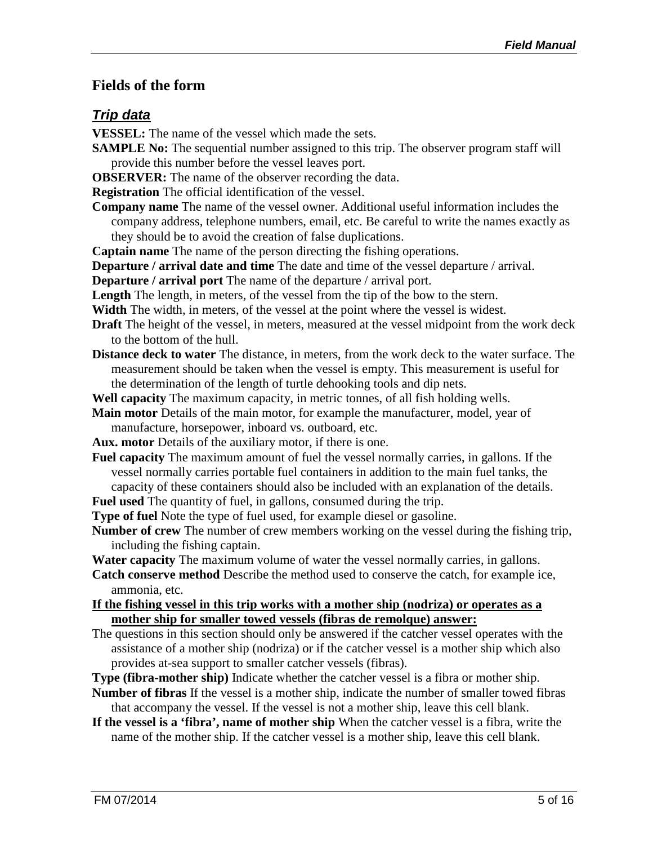#### **Fields of the form**

#### *Trip data*

- **VESSEL:** The name of the vessel which made the sets.
- **SAMPLE No:** The sequential number assigned to this trip. The observer program staff will provide this number before the vessel leaves port.
- **OBSERVER:** The name of the observer recording the data.

**Registration** The official identification of the vessel.

**Company name** The name of the vessel owner. Additional useful information includes the company address, telephone numbers, email, etc. Be careful to write the names exactly as they should be to avoid the creation of false duplications.

**Captain name** The name of the person directing the fishing operations.

**Departure / arrival date and time** The date and time of the vessel departure / arrival.

**Departure / arrival port** The name of the departure / arrival port.

**Length** The length, in meters, of the vessel from the tip of the bow to the stern.

**Width** The width, in meters, of the vessel at the point where the vessel is widest.

- **Draft** The height of the vessel, in meters, measured at the vessel midpoint from the work deck to the bottom of the hull.
- **Distance deck to water** The distance, in meters, from the work deck to the water surface. The measurement should be taken when the vessel is empty. This measurement is useful for the determination of the length of turtle dehooking tools and dip nets.

**Well capacity** The maximum capacity, in metric tonnes, of all fish holding wells.

**Main motor** Details of the main motor, for example the manufacturer, model, year of manufacture, horsepower, inboard vs. outboard, etc.

**Aux. motor** Details of the auxiliary motor, if there is one.

**Fuel capacity** The maximum amount of fuel the vessel normally carries, in gallons. If the vessel normally carries portable fuel containers in addition to the main fuel tanks, the capacity of these containers should also be included with an explanation of the details.

**Fuel used** The quantity of fuel, in gallons, consumed during the trip.

**Type of fuel** Note the type of fuel used, for example diesel or gasoline.

**Number of crew** The number of crew members working on the vessel during the fishing trip, including the fishing captain.

**Water capacity** The maximum volume of water the vessel normally carries, in gallons.

**Catch conserve method** Describe the method used to conserve the catch, for example ice, ammonia, etc.

**If the fishing vessel in this trip works with a mother ship (nodriza) or operates as a mother ship for smaller towed vessels (fibras de remolque) answer:**

The questions in this section should only be answered if the catcher vessel operates with the assistance of a mother ship (nodriza) or if the catcher vessel is a mother ship which also provides at-sea support to smaller catcher vessels (fibras).

**Type (fibra-mother ship)** Indicate whether the catcher vessel is a fibra or mother ship.

**Number of fibras** If the vessel is a mother ship, indicate the number of smaller towed fibras that accompany the vessel. If the vessel is not a mother ship, leave this cell blank.

**If the vessel is a 'fibra', name of mother ship** When the catcher vessel is a fibra, write the name of the mother ship. If the catcher vessel is a mother ship, leave this cell blank.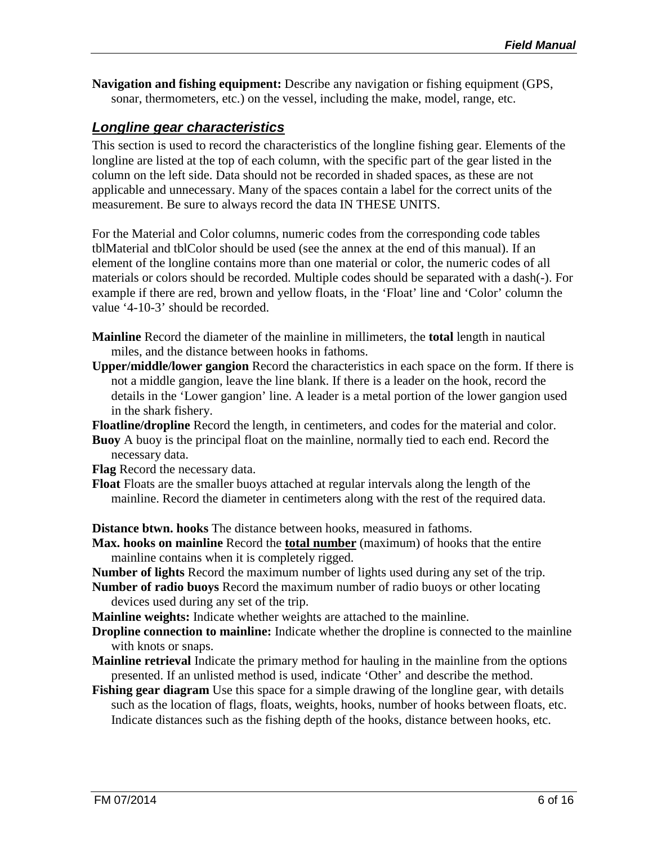**Navigation and fishing equipment:** Describe any navigation or fishing equipment (GPS, sonar, thermometers, etc.) on the vessel, including the make, model, range, etc.

#### *Longline gear characteristics*

This section is used to record the characteristics of the longline fishing gear. Elements of the longline are listed at the top of each column, with the specific part of the gear listed in the column on the left side. Data should not be recorded in shaded spaces, as these are not applicable and unnecessary. Many of the spaces contain a label for the correct units of the measurement. Be sure to always record the data IN THESE UNITS.

For the Material and Color columns, numeric codes from the corresponding code tables tblMaterial and tblColor should be used (see the annex at the end of this manual). If an element of the longline contains more than one material or color, the numeric codes of all materials or colors should be recorded. Multiple codes should be separated with a dash(-). For example if there are red, brown and yellow floats, in the 'Float' line and 'Color' column the value '4-10-3' should be recorded.

- **Mainline** Record the diameter of the mainline in millimeters, the **total** length in nautical miles, and the distance between hooks in fathoms.
- **Upper/middle/lower gangion** Record the characteristics in each space on the form. If there is not a middle gangion, leave the line blank. If there is a leader on the hook, record the details in the 'Lower gangion' line. A leader is a metal portion of the lower gangion used in the shark fishery.

**Floatline/dropline** Record the length, in centimeters, and codes for the material and color.

**Buoy** A buoy is the principal float on the mainline, normally tied to each end. Record the necessary data.

**Flag** Record the necessary data.

**Float** Floats are the smaller buoys attached at regular intervals along the length of the mainline. Record the diameter in centimeters along with the rest of the required data.

**Distance btwn. hooks** The distance between hooks, measured in fathoms.

**Max. hooks on mainline** Record the **total number** (maximum) of hooks that the entire mainline contains when it is completely rigged.

**Number of lights** Record the maximum number of lights used during any set of the trip.

- **Number of radio buoys** Record the maximum number of radio buoys or other locating devices used during any set of the trip.
- **Mainline weights:** Indicate whether weights are attached to the mainline.
- **Dropline connection to mainline:** Indicate whether the dropline is connected to the mainline with knots or snaps.
- **Mainline retrieval** Indicate the primary method for hauling in the mainline from the options presented. If an unlisted method is used, indicate 'Other' and describe the method.
- **Fishing gear diagram** Use this space for a simple drawing of the longline gear, with details such as the location of flags, floats, weights, hooks, number of hooks between floats, etc. Indicate distances such as the fishing depth of the hooks, distance between hooks, etc.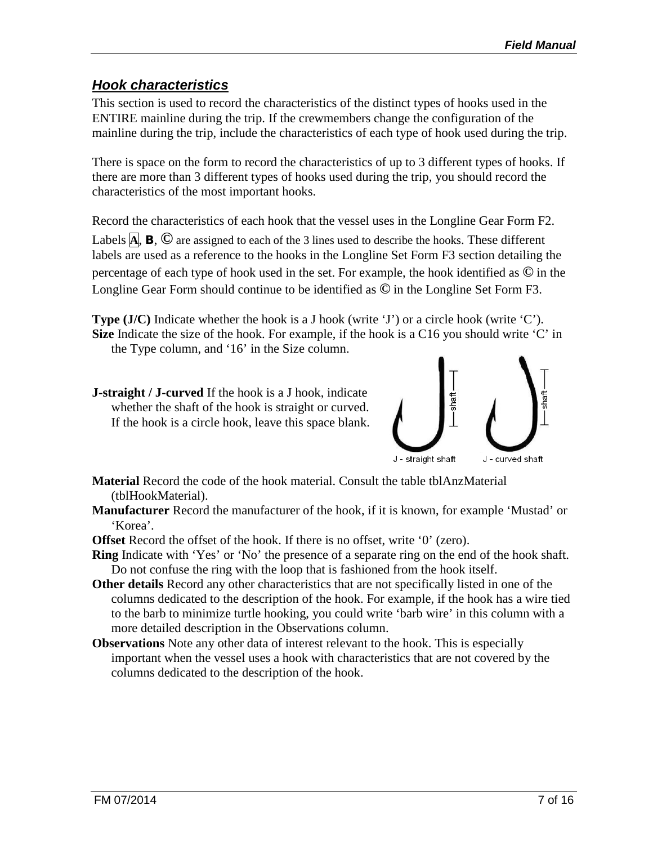#### *Hook characteristics*

This section is used to record the characteristics of the distinct types of hooks used in the ENTIRE mainline during the trip. If the crewmembers change the configuration of the mainline during the trip, include the characteristics of each type of hook used during the trip.

There is space on the form to record the characteristics of up to 3 different types of hooks. If there are more than 3 different types of hooks used during the trip, you should record the characteristics of the most important hooks.

Record the characteristics of each hook that the vessel uses in the Longline Gear Form F2. Labels **<sup>A</sup>**, **B**, **©** are assigned to each of the 3 lines used to describe the hooks. These different labels are used as a reference to the hooks in the Longline Set Form F3 section detailing the percentage of each type of hook used in the set. For example, the hook identified as **©** in the Longline Gear Form should continue to be identified as **©** in the Longline Set Form F3.

**Type** (J/C) Indicate whether the hook is a J hook (write 'J') or a circle hook (write 'C'). **Size** Indicate the size of the hook. For example, if the hook is a C16 you should write 'C' in the Type column, and '16' in the Size column.

**J-straight / J-curved** If the hook is a J hook, indicate whether the shaft of the hook is straight or curved. If the hook is a circle hook, leave this space blank.



**Material** Record the code of the hook material. Consult the table tblAnzMaterial (tblHookMaterial).

**Manufacturer** Record the manufacturer of the hook, if it is known, for example 'Mustad' or 'Korea'.

**Offset** Record the offset of the hook. If there is no offset, write '0' (zero).

- **Ring** Indicate with 'Yes' or 'No' the presence of a separate ring on the end of the hook shaft. Do not confuse the ring with the loop that is fashioned from the hook itself.
- **Other details** Record any other characteristics that are not specifically listed in one of the columns dedicated to the description of the hook. For example, if the hook has a wire tied to the barb to minimize turtle hooking, you could write 'barb wire' in this column with a more detailed description in the Observations column.
- **Observations** Note any other data of interest relevant to the hook. This is especially important when the vessel uses a hook with characteristics that are not covered by the columns dedicated to the description of the hook.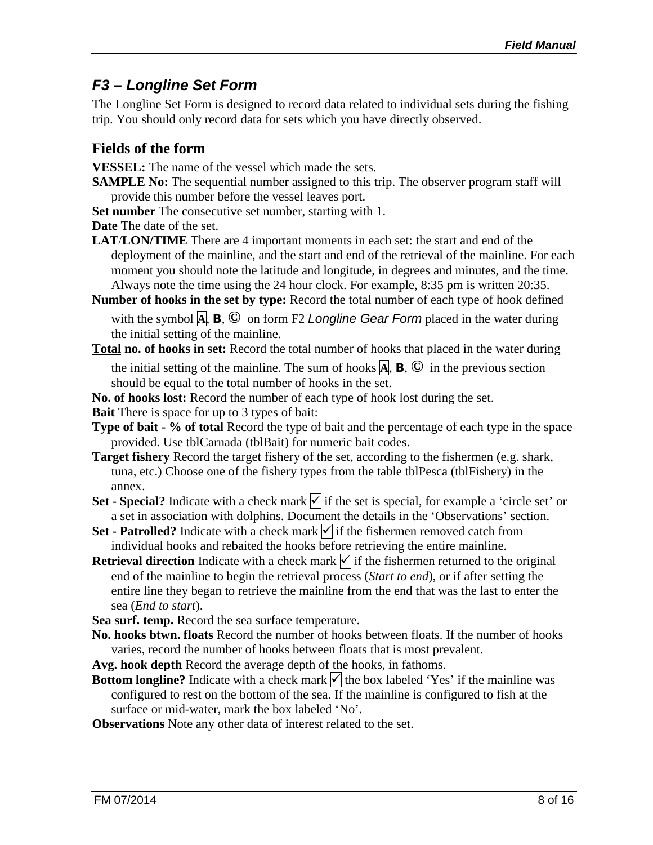#### *F3 – Longline Set Form*

The Longline Set Form is designed to record data related to individual sets during the fishing trip. You should only record data for sets which you have directly observed.

#### **Fields of the form**

**VESSEL:** The name of the vessel which made the sets.

**SAMPLE No:** The sequential number assigned to this trip. The observer program staff will provide this number before the vessel leaves port.

**Set number** The consecutive set number, starting with 1.

**Date** The date of the set.

- **LAT**/**LON/TIME** There are 4 important moments in each set: the start and end of the deployment of the mainline, and the start and end of the retrieval of the mainline. For each moment you should note the latitude and longitude, in degrees and minutes, and the time. Always note the time using the 24 hour clock. For example, 8:35 pm is written 20:35.
- **Number of hooks in the set by type:** Record the total number of each type of hook defined with the symbol **A**, **B**, **©** on form F2 *Longline Gear Form* placed in the water during the initial setting of the mainline.
- **Total no. of hooks in set:** Record the total number of hooks that placed in the water during the initial setting of the mainline. The sum of hooks  $\mathbf{A}$ ,  $\mathbf{B}$ ,  $\mathbf{C}$  in the previous section should be equal to the total number of hooks in the set.
- **No. of hooks lost:** Record the number of each type of hook lost during the set.
- **Bait** There is space for up to 3 types of bait:
- **Type of bait - % of total** Record the type of bait and the percentage of each type in the space provided. Use tblCarnada (tblBait) for numeric bait codes.
- **Target fishery** Record the target fishery of the set, according to the fishermen (e.g. shark, tuna, etc.) Choose one of the fishery types from the table tblPesca (tblFishery) in the annex.
- **Set - Special?** Indicate with a check mark  $\sqrt{\ }$  if the set is special, for example a 'circle set' or a set in association with dolphins. Document the details in the 'Observations' section.
- **Set - Patrolled?** Indicate with a check mark  $\forall$  if the fishermen removed catch from individual hooks and rebaited the hooks before retrieving the entire mainline.
- **Retrieval direction** Indicate with a check mark  $\sqrt{\ }$  if the fishermen returned to the original end of the mainline to begin the retrieval process (*Start to end*), or if after setting the entire line they began to retrieve the mainline from the end that was the last to enter the sea (*End to start*).
- **Sea surf. temp.** Record the sea surface temperature.
- **No. hooks btwn. floats** Record the number of hooks between floats. If the number of hooks varies, record the number of hooks between floats that is most prevalent.
- **Avg. hook depth** Record the average depth of the hooks, in fathoms.
- **Bottom longline?** Indicate with a check mark  $\vert \cdot \vert$  the box labeled 'Yes' if the mainline was configured to rest on the bottom of the sea. If the mainline is configured to fish at the surface or mid-water, mark the box labeled 'No'.
- **Observations** Note any other data of interest related to the set.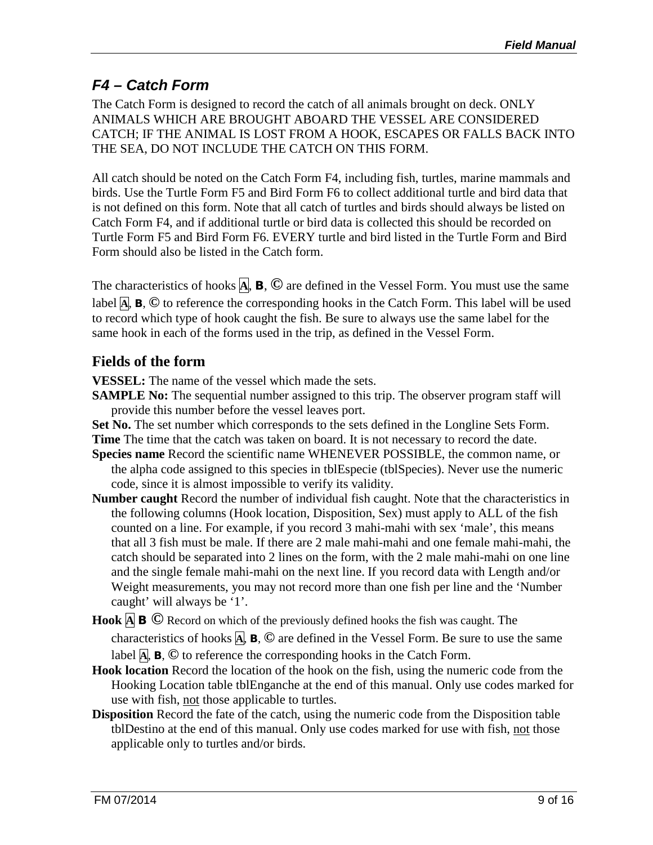#### *F4 – Catch Form*

The Catch Form is designed to record the catch of all animals brought on deck. ONLY ANIMALS WHICH ARE BROUGHT ABOARD THE VESSEL ARE CONSIDERED CATCH; IF THE ANIMAL IS LOST FROM A HOOK, ESCAPES OR FALLS BACK INTO THE SEA, DO NOT INCLUDE THE CATCH ON THIS FORM.

All catch should be noted on the Catch Form F4, including fish, turtles, marine mammals and birds. Use the Turtle Form F5 and Bird Form F6 to collect additional turtle and bird data that is not defined on this form. Note that all catch of turtles and birds should always be listed on Catch Form F4, and if additional turtle or bird data is collected this should be recorded on Turtle Form F5 and Bird Form F6. EVERY turtle and bird listed in the Turtle Form and Bird Form should also be listed in the Catch form.

The characteristics of hooks **A**, **B**, **©** are defined in the Vessel Form. You must use the same label **A**, **B**, **©** to reference the corresponding hooks in the Catch Form. This label will be used to record which type of hook caught the fish. Be sure to always use the same label for the same hook in each of the forms used in the trip, as defined in the Vessel Form.

#### **Fields of the form**

**VESSEL:** The name of the vessel which made the sets.

**SAMPLE No:** The sequential number assigned to this trip. The observer program staff will provide this number before the vessel leaves port.

**Set No.** The set number which corresponds to the sets defined in the Longline Sets Form. **Time** The time that the catch was taken on board. It is not necessary to record the date.

- **Species name** Record the scientific name WHENEVER POSSIBLE, the common name, or the alpha code assigned to this species in tblEspecie (tblSpecies). Never use the numeric code, since it is almost impossible to verify its validity.
- **Number caught** Record the number of individual fish caught. Note that the characteristics in the following columns (Hook location, Disposition, Sex) must apply to ALL of the fish counted on a line. For example, if you record 3 mahi-mahi with sex 'male', this means that all 3 fish must be male. If there are 2 male mahi-mahi and one female mahi-mahi, the catch should be separated into 2 lines on the form, with the 2 male mahi-mahi on one line and the single female mahi-mahi on the next line. If you record data with Length and/or Weight measurements, you may not record more than one fish per line and the 'Number caught' will always be '1'.
- **Hook <sup>A</sup> <sup>B</sup> ©** Record on which of the previously defined hooks the fish was caught. The characteristics of hooks **A**, **B**, **©** are defined in the Vessel Form. Be sure to use the same label  $\overline{A}$ ,  $\overline{B}$ ,  $\overline{O}$  to reference the corresponding hooks in the Catch Form.
- **Hook location** Record the location of the hook on the fish, using the numeric code from the Hooking Location table tblEnganche at the end of this manual. Only use codes marked for use with fish, not those applicable to turtles.
- **Disposition** Record the fate of the catch, using the numeric code from the Disposition table tblDestino at the end of this manual. Only use codes marked for use with fish, not those applicable only to turtles and/or birds.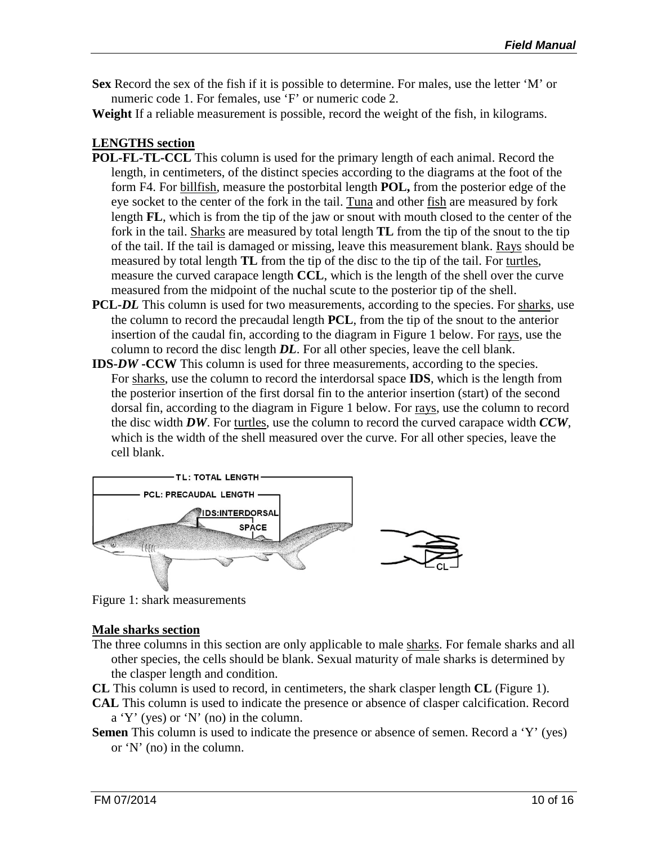**Sex** Record the sex of the fish if it is possible to determine. For males, use the letter 'M' or numeric code 1. For females, use 'F' or numeric code 2.

**Weight** If a reliable measurement is possible, record the weight of the fish, in kilograms.

#### **LENGTHS section**

- **POL-FL-TL-CCL** This column is used for the primary length of each animal. Record the length, in centimeters, of the distinct species according to the diagrams at the foot of the form F4. For billfish, measure the postorbital length **POL,** from the posterior edge of the eye socket to the center of the fork in the tail. Tuna and other fish are measured by fork length **FL**, which is from the tip of the jaw or snout with mouth closed to the center of the fork in the tail. Sharks are measured by total length **TL** from the tip of the snout to the tip of the tail. If the tail is damaged or missing, leave this measurement blank. Rays should be measured by total length **TL** from the tip of the disc to the tip of the tail. For turtles, measure the curved carapace length **CCL**, which is the length of the shell over the curve measured from the midpoint of the nuchal scute to the posterior tip of the shell.
- **PCL-***DL* This column is used for two measurements, according to the species. For sharks, use the column to record the precaudal length **PCL**, from the tip of the snout to the anterior insertion of the caudal fin, according to the diagram in Figure 1 below. For rays, use the column to record the disc length *DL*. For all other species, leave the cell blank.
- **IDS-***DW* **-CCW** This column is used for three measurements, according to the species. For sharks, use the column to record the interdorsal space **IDS**, which is the length from the posterior insertion of the first dorsal fin to the anterior insertion (start) of the second dorsal fin, according to the diagram in Figure 1 below. For rays, use the column to record the disc width *DW*. For turtles, use the column to record the curved carapace width *CCW*, which is the width of the shell measured over the curve. For all other species, leave the cell blank.



Figure 1: shark measurements

#### **Male sharks section**

The three columns in this section are only applicable to male sharks. For female sharks and all other species, the cells should be blank. Sexual maturity of male sharks is determined by the clasper length and condition.

**CL** This column is used to record, in centimeters, the shark clasper length **CL** (Figure 1).

- **CAL** This column is used to indicate the presence or absence of clasper calcification. Record a 'Y' (yes) or 'N' (no) in the column.
- **Semen** This column is used to indicate the presence or absence of semen. Record a 'Y' (yes) or 'N' (no) in the column.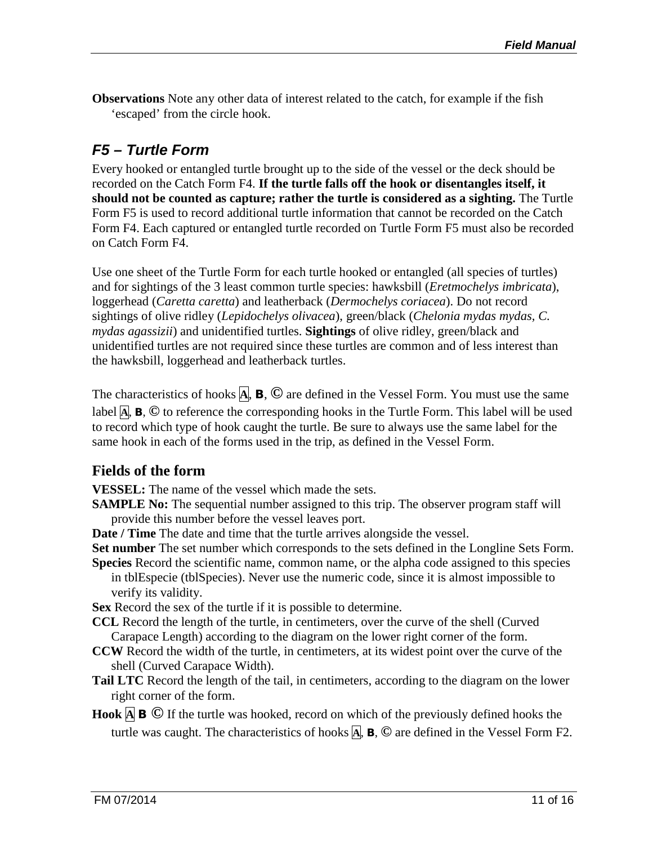**Observations** Note any other data of interest related to the catch, for example if the fish 'escaped' from the circle hook.

#### *F5 – Turtle Form*

Every hooked or entangled turtle brought up to the side of the vessel or the deck should be recorded on the Catch Form F4. **If the turtle falls off the hook or disentangles itself, it should not be counted as capture; rather the turtle is considered as a sighting.** The Turtle Form F5 is used to record additional turtle information that cannot be recorded on the Catch Form F4. Each captured or entangled turtle recorded on Turtle Form F5 must also be recorded on Catch Form F4.

Use one sheet of the Turtle Form for each turtle hooked or entangled (all species of turtles) and for sightings of the 3 least common turtle species: hawksbill (*Eretmochelys imbricata*), loggerhead (*Caretta caretta*) and leatherback (*Dermochelys coriacea*). Do not record sightings of olive ridley (*Lepidochelys olivacea*), green/black (*Chelonia mydas mydas, C. mydas agassizii*) and unidentified turtles. **Sightings** of olive ridley, green/black and unidentified turtles are not required since these turtles are common and of less interest than the hawksbill, loggerhead and leatherback turtles.

The characteristics of hooks **A**, **B**, **©** are defined in the Vessel Form. You must use the same label **A**, **B**, **©** to reference the corresponding hooks in the Turtle Form. This label will be used to record which type of hook caught the turtle. Be sure to always use the same label for the same hook in each of the forms used in the trip, as defined in the Vessel Form.

#### **Fields of the form**

**VESSEL:** The name of the vessel which made the sets.

- **SAMPLE No:** The sequential number assigned to this trip. The observer program staff will provide this number before the vessel leaves port.
- **Date / Time** The date and time that the turtle arrives alongside the vessel.

**Set number** The set number which corresponds to the sets defined in the Longline Sets Form. **Species** Record the scientific name, common name, or the alpha code assigned to this species

in tblEspecie (tblSpecies). Never use the numeric code, since it is almost impossible to verify its validity.

**Sex** Record the sex of the turtle if it is possible to determine.

- **CCL** Record the length of the turtle, in centimeters, over the curve of the shell (Curved Carapace Length) according to the diagram on the lower right corner of the form.
- **CCW** Record the width of the turtle, in centimeters, at its widest point over the curve of the shell (Curved Carapace Width).
- **Tail LTC** Record the length of the tail, in centimeters, according to the diagram on the lower right corner of the form.
- **Hook <sup>A</sup> <sup>B</sup> ©** If the turtle was hooked, record on which of the previously defined hooks the turtle was caught. The characteristics of hooks **A**, **B**, **©** are defined in the Vessel Form F2.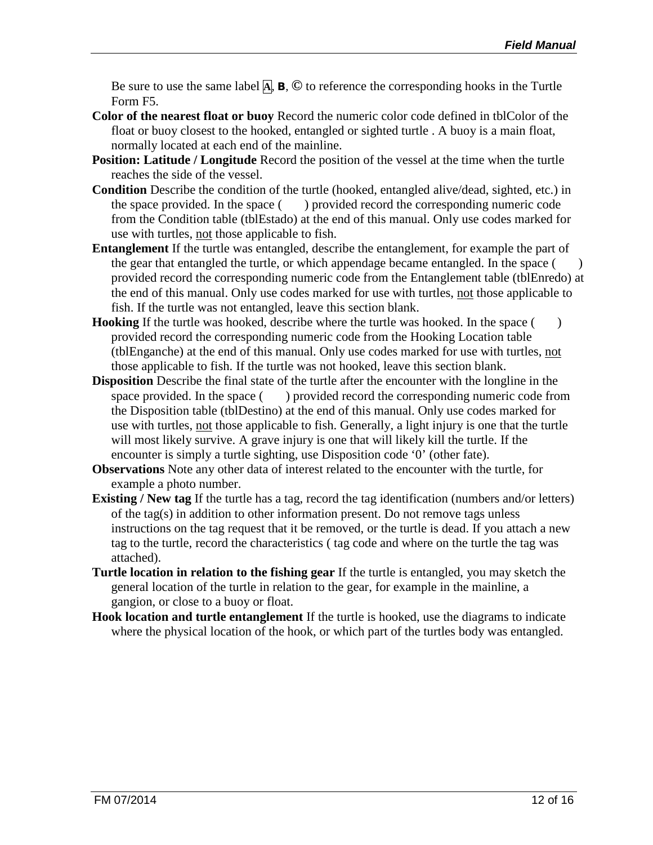Be sure to use the same label  $\overline{A}$ ,  $\overline{B}$ ,  $\overline{O}$  to reference the corresponding hooks in the Turtle Form F5.

- **Color of the nearest float or buoy** Record the numeric color code defined in tblColor of the float or buoy closest to the hooked, entangled or sighted turtle . A buoy is a main float, normally located at each end of the mainline.
- **Position: Latitude** / Longitude Record the position of the vessel at the time when the turtle reaches the side of the vessel.
- **Condition** Describe the condition of the turtle (hooked, entangled alive/dead, sighted, etc.) in the space provided. In the space () provided record the corresponding numeric code from the Condition table (tblEstado) at the end of this manual. Only use codes marked for use with turtles, not those applicable to fish.
- **Entanglement** If the turtle was entangled, describe the entanglement, for example the part of the gear that entangled the turtle, or which appendage became entangled. In the space ( ) provided record the corresponding numeric code from the Entanglement table (tblEnredo) at the end of this manual. Only use codes marked for use with turtles, not those applicable to fish. If the turtle was not entangled, leave this section blank.
- **Hooking** If the turtle was hooked, describe where the turtle was hooked. In the space () provided record the corresponding numeric code from the Hooking Location table (tblEnganche) at the end of this manual. Only use codes marked for use with turtles, not those applicable to fish. If the turtle was not hooked, leave this section blank.
- **Disposition** Describe the final state of the turtle after the encounter with the longline in the space provided. In the space () provided record the corresponding numeric code from the Disposition table (tblDestino) at the end of this manual. Only use codes marked for use with turtles, not those applicable to fish. Generally, a light injury is one that the turtle will most likely survive. A grave injury is one that will likely kill the turtle. If the encounter is simply a turtle sighting, use Disposition code '0' (other fate).
- **Observations** Note any other data of interest related to the encounter with the turtle, for example a photo number.
- **Existing / New tag** If the turtle has a tag, record the tag identification (numbers and/or letters) of the tag(s) in addition to other information present. Do not remove tags unless instructions on the tag request that it be removed, or the turtle is dead. If you attach a new tag to the turtle, record the characteristics ( tag code and where on the turtle the tag was attached).
- **Turtle location in relation to the fishing gear** If the turtle is entangled, you may sketch the general location of the turtle in relation to the gear, for example in the mainline, a gangion, or close to a buoy or float.
- **Hook location and turtle entanglement** If the turtle is hooked, use the diagrams to indicate where the physical location of the hook, or which part of the turtles body was entangled.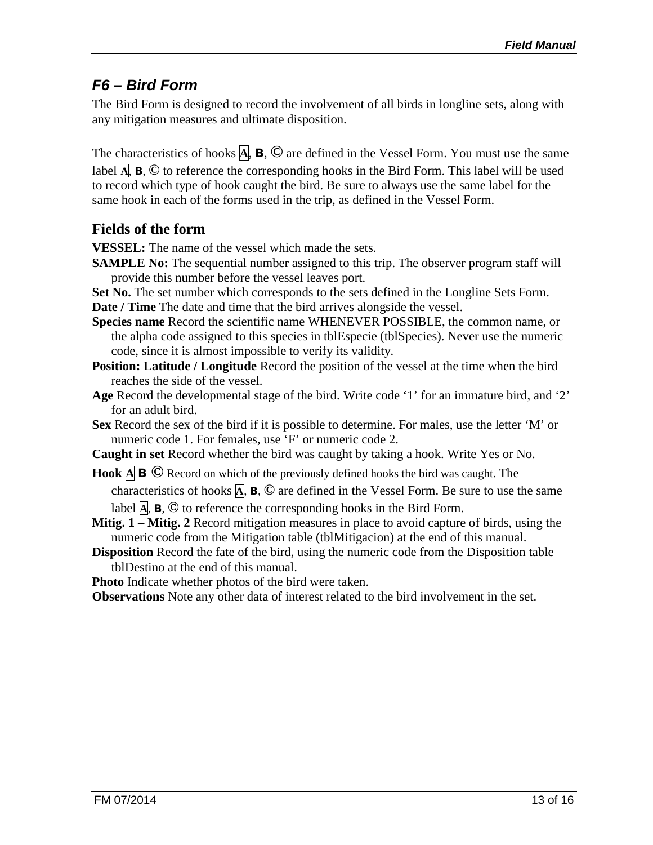#### *F6 – Bird Form*

The Bird Form is designed to record the involvement of all birds in longline sets, along with any mitigation measures and ultimate disposition.

The characteristics of hooks **A**, **B**, **©** are defined in the Vessel Form. You must use the same label **A**, **B**, **©** to reference the corresponding hooks in the Bird Form. This label will be used to record which type of hook caught the bird. Be sure to always use the same label for the same hook in each of the forms used in the trip, as defined in the Vessel Form.

#### **Fields of the form**

**VESSEL:** The name of the vessel which made the sets.

- **SAMPLE No:** The sequential number assigned to this trip. The observer program staff will provide this number before the vessel leaves port.
- **Set No.** The set number which corresponds to the sets defined in the Longline Sets Form.
- **Date / Time** The date and time that the bird arrives alongside the vessel.
- **Species name** Record the scientific name WHENEVER POSSIBLE, the common name, or the alpha code assigned to this species in tblEspecie (tblSpecies). Never use the numeric code, since it is almost impossible to verify its validity.
- **Position: Latitude / Longitude** Record the position of the vessel at the time when the bird reaches the side of the vessel.
- **Age** Record the developmental stage of the bird. Write code '1' for an immature bird, and '2' for an adult bird.
- **Sex** Record the sex of the bird if it is possible to determine. For males, use the letter 'M' or numeric code 1. For females, use 'F' or numeric code 2.
- **Caught in set** Record whether the bird was caught by taking a hook. Write Yes or No.
- **Hook <sup>A</sup> <sup>B</sup> ©** Record on which of the previously defined hooks the bird was caught. The

characteristics of hooks **A**, **B**, **©** are defined in the Vessel Form. Be sure to use the same label  $\overline{A}$ ,  $\overline{B}$ ,  $\overline{O}$  to reference the corresponding hooks in the Bird Form.

- **Mitig. 1 – Mitig. 2** Record mitigation measures in place to avoid capture of birds, using the numeric code from the Mitigation table (tblMitigacion) at the end of this manual.
- **Disposition** Record the fate of the bird, using the numeric code from the Disposition table tblDestino at the end of this manual.

**Photo** Indicate whether photos of the bird were taken.

**Observations** Note any other data of interest related to the bird involvement in the set.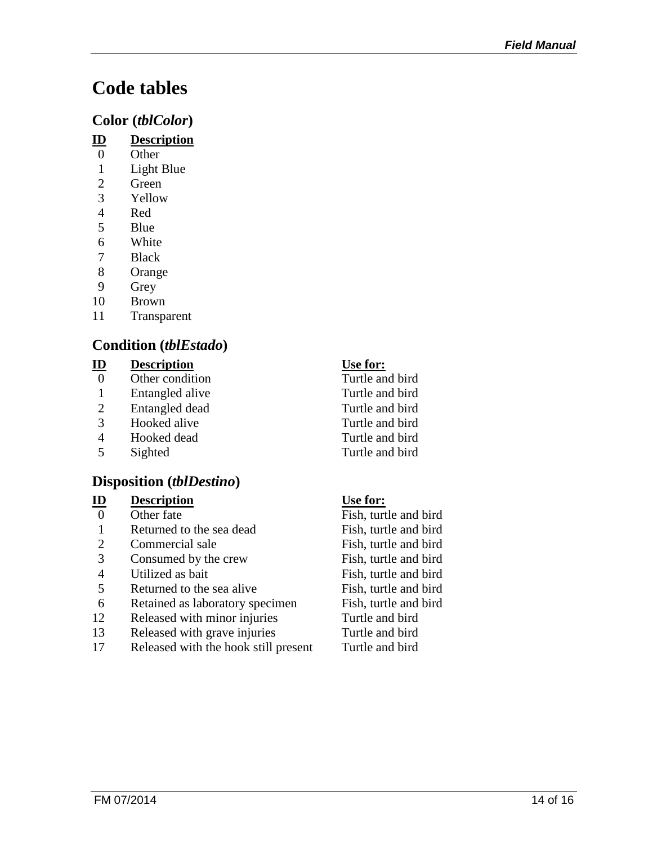# **Code tables**

#### **Color (***tblColor***)**

- **ID Description**
- 0 Other
- 1 Light Blue<br>2 Green
- **Green**
- 3 Yellow
- 4 Red
- 5 Blue
- 6 White
- 7 Black
- 8 Orange
- 9 Grey
- 10 Brown
- 11 Transparent

### **Condition (***tblEstado***)**

#### **ID Description Use for:**

- 0 Other condition Turtle and bird
- 1 Entangled alive Turtle and bird
- 
- 
- 4 Hooked dead Turtle and bird
- 

#### **Disposition (***tblDestino***)**

#### **ID Description Use for:**

- 
- 1 Returned to the sea dead Fish, turtle and bird
- 2 Commercial sale Fish, turtle and bird
- 3 Consumed by the crew Fish, turtle and bird
- 
- Returned to the sea alive Fish, turtle and bird
- 6 Retained as laboratory specimen Fish, turtle and bird
- 12 Released with minor injuries Turtle and bird
- 13 Released with grave injuries Turtle and bird
- 17 Released with the hook still present Turtle and bird

2 Entangled dead Turtle and bird<br>3 Hooked alive Turtle and bird 3 Hooked alive Turtle and bird 5 Sighted Turtle and bird

0 Other fate Fish, turtle and bird 4 Utilized as bait Fish, turtle and bird<br>5 Returned to the sea alive Fish, turtle and bird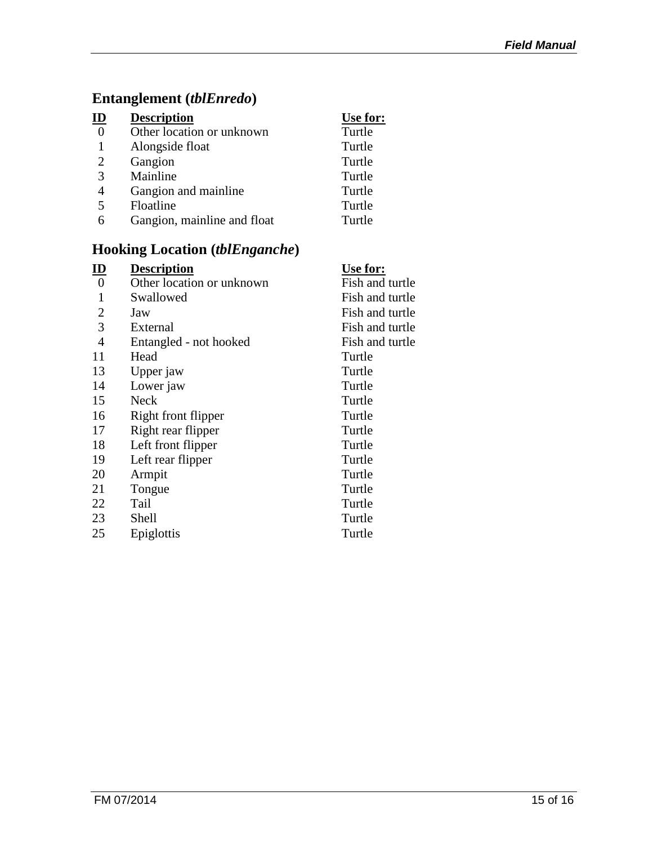### **Entanglement (***tblEnredo***)**

| $\underline{\mathbf{ID}}$ | <b>Description</b>          | Use for: |
|---------------------------|-----------------------------|----------|
| $\overline{0}$            | Other location or unknown   | Turtle   |
|                           | Alongside float             | Turtle   |
| 2                         | Gangion                     | Turtle   |
| 3                         | Mainline                    | Turtle   |
| 4                         | Gangion and mainline        | Turtle   |
| 5                         | Floatline                   | Turtle   |
| 6                         | Gangion, mainline and float | Turtle   |
|                           |                             |          |

### **Hooking Location (***tblEnganche***)**

| <u>ID</u>      | <b>Description</b>        | Use for:        |
|----------------|---------------------------|-----------------|
| 0              | Other location or unknown | Fish and turtle |
| 1              | Swallowed                 | Fish and turtle |
| $\overline{2}$ | Jaw                       | Fish and turtle |
| 3              | External                  | Fish and turtle |
| $\overline{4}$ | Entangled - not hooked    | Fish and turtle |
| 11             | Head                      | Turtle          |
| 13             | Upper jaw                 | Turtle          |
| 14             | Lower jaw                 | Turtle          |
| 15             | Neck                      | Turtle          |
| 16             | Right front flipper       | Turtle          |
| 17             | Right rear flipper        | Turtle          |
| 18             | Left front flipper        | Turtle          |
| 19             | Left rear flipper         | Turtle          |
| 20             | Armpit                    | Turtle          |
| 21             | Tongue                    | Turtle          |
| 22             | Tail                      | Turtle          |
| 23             | Shell                     | Turtle          |
| 25             | Epiglottis                | Turtle          |
|                |                           |                 |